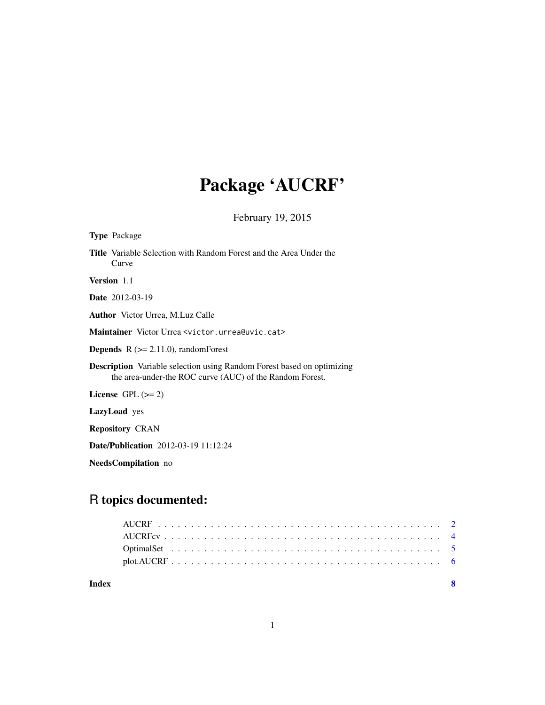# Package 'AUCRF'

February 19, 2015

<span id="page-0-0"></span>

| <b>Type</b> Package                                                                                                                       |
|-------------------------------------------------------------------------------------------------------------------------------------------|
| <b>Title</b> Variable Selection with Random Forest and the Area Under the<br>Curve                                                        |
| Version 1.1                                                                                                                               |
| <b>Date</b> 2012-03-19                                                                                                                    |
| <b>Author</b> Victor Urrea, M.Luz Calle                                                                                                   |
| Maintainer Victor Urrea <victor.urrea@uvic.cat></victor.urrea@uvic.cat>                                                                   |
| <b>Depends</b> $R$ ( $>= 2.11.0$ ), random Forest                                                                                         |
| <b>Description</b> Variable selection using Random Forest based on optimizing<br>the area-under-the ROC curve (AUC) of the Random Forest. |
| License $GPL (= 2)$                                                                                                                       |
| <b>LazyLoad</b> yes                                                                                                                       |
| <b>Repository CRAN</b>                                                                                                                    |
| <b>Date/Publication</b> 2012-03-19 11:12:24                                                                                               |

NeedsCompilation no

# R topics documented:

**Index** [8](#page-7-0) **8**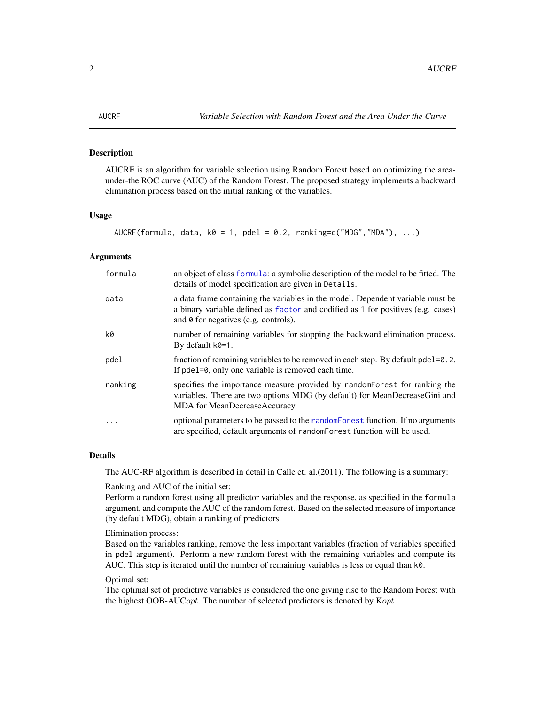#### <span id="page-1-1"></span><span id="page-1-0"></span>**Description**

AUCRF is an algorithm for variable selection using Random Forest based on optimizing the areaunder-the ROC curve (AUC) of the Random Forest. The proposed strategy implements a backward elimination process based on the initial ranking of the variables.

# Usage

AUCRF(formula, data,  $k0 = 1$ ,  $pdel = 0.2$ ,  $ranking=c("MDG", "MDA"), ...$ )

#### Arguments

| formula | an object of class formula: a symbolic description of the model to be fitted. The<br>details of model specification are given in Details.                                                                         |
|---------|-------------------------------------------------------------------------------------------------------------------------------------------------------------------------------------------------------------------|
| data    | a data frame containing the variables in the model. Dependent variable must be<br>a binary variable defined as factor and codified as 1 for positives (e.g. cases)<br>and $\theta$ for negatives (e.g. controls). |
| k0      | number of remaining variables for stopping the backward elimination process.<br>By default $k\theta = 1$ .                                                                                                        |
| pdel    | fraction of remaining variables to be removed in each step. By default pde l=0.2.<br>If pdel=0, only one variable is removed each time.                                                                           |
| ranking | specifies the importance measure provided by random Forest for ranking the<br>variables. There are two options MDG (by default) for MeanDecreaseGini and<br>MDA for MeanDecreaseAccuracy.                         |
| $\cdot$ | optional parameters to be passed to the random Forest function. If no arguments<br>are specified, default arguments of random Forest function will be used.                                                       |

# Details

The AUC-RF algorithm is described in detail in Calle et. al.(2011). The following is a summary:

#### Ranking and AUC of the initial set:

Perform a random forest using all predictor variables and the response, as specified in the formula argument, and compute the AUC of the random forest. Based on the selected measure of importance (by default MDG), obtain a ranking of predictors.

#### Elimination process:

Based on the variables ranking, remove the less important variables (fraction of variables specified in pdel argument). Perform a new random forest with the remaining variables and compute its AUC. This step is iterated until the number of remaining variables is less or equal than k0.

#### Optimal set:

The optimal set of predictive variables is considered the one giving rise to the Random Forest with the highest OOB-AUCopt. The number of selected predictors is denoted by  $Kopt$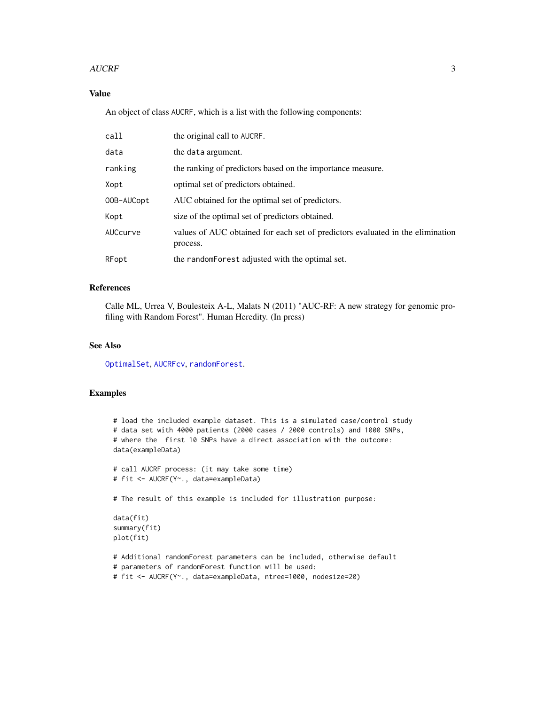#### <span id="page-2-0"></span>AUCRF 3

# Value

An object of class AUCRF, which is a list with the following components:

| the original call to AUCRF.                                                                |
|--------------------------------------------------------------------------------------------|
| the data argument.                                                                         |
| the ranking of predictors based on the importance measure.                                 |
| optimal set of predictors obtained.                                                        |
| AUC obtained for the optimal set of predictors.                                            |
| size of the optimal set of predictors obtained.                                            |
| values of AUC obtained for each set of predictors evaluated in the elimination<br>process. |
| the random Forest adjusted with the optimal set.                                           |
|                                                                                            |

# References

Calle ML, Urrea V, Boulesteix A-L, Malats N (2011) "AUC-RF: A new strategy for genomic profiling with Random Forest". Human Heredity. (In press)

#### See Also

[OptimalSet](#page-4-1), [AUCRFcv](#page-3-1), [randomForest](#page-0-0).

# Examples

```
# load the included example dataset. This is a simulated case/control study
# data set with 4000 patients (2000 cases / 2000 controls) and 1000 SNPs,
# where the first 10 SNPs have a direct association with the outcome:
data(exampleData)
# call AUCRF process: (it may take some time)
# fit <- AUCRF(Y~., data=exampleData)
# The result of this example is included for illustration purpose:
data(fit)
summary(fit)
plot(fit)
# Additional randomForest parameters can be included, otherwise default
# parameters of randomForest function will be used:
# fit <- AUCRF(Y~., data=exampleData, ntree=1000, nodesize=20)
```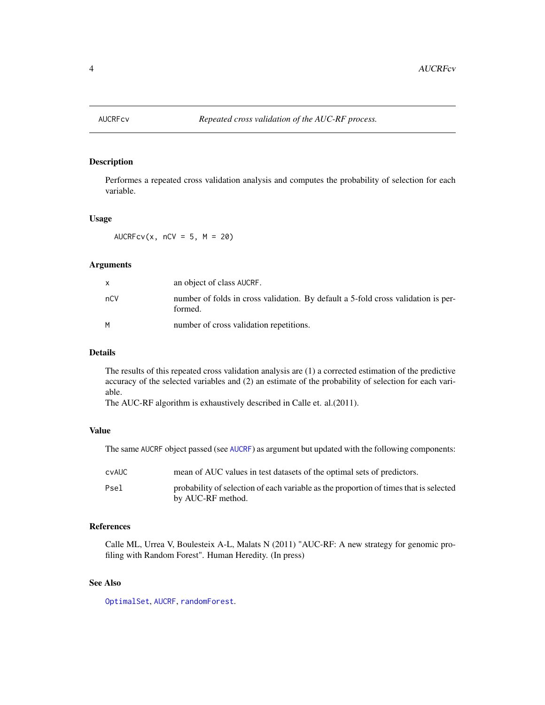<span id="page-3-1"></span><span id="page-3-0"></span>

# Description

Performes a repeated cross validation analysis and computes the probability of selection for each variable.

#### Usage

AUCRFcv(x,  $nCV = 5$ ,  $M = 20$ )

#### Arguments

| X   | an object of class AUCRF.                                                                    |
|-----|----------------------------------------------------------------------------------------------|
| nCV | number of folds in cross validation. By default a 5-fold cross validation is per-<br>formed. |
| м   | number of cross validation repetitions.                                                      |

#### Details

The results of this repeated cross validation analysis are (1) a corrected estimation of the predictive accuracy of the selected variables and (2) an estimate of the probability of selection for each variable.

The AUC-RF algorithm is exhaustively described in Calle et. al.(2011).

#### Value

The same AUCRF object passed (see [AUCRF](#page-1-1)) as argument but updated with the following components:

| cvAUC | mean of AUC values in test datasets of the optimal sets of predictors.                                     |
|-------|------------------------------------------------------------------------------------------------------------|
| Psel  | probability of selection of each variable as the proportion of times that is selected<br>by AUC-RF method. |

#### References

Calle ML, Urrea V, Boulesteix A-L, Malats N (2011) "AUC-RF: A new strategy for genomic profiling with Random Forest". Human Heredity. (In press)

# See Also

[OptimalSet](#page-4-1), [AUCRF](#page-1-1), [randomForest](#page-0-0).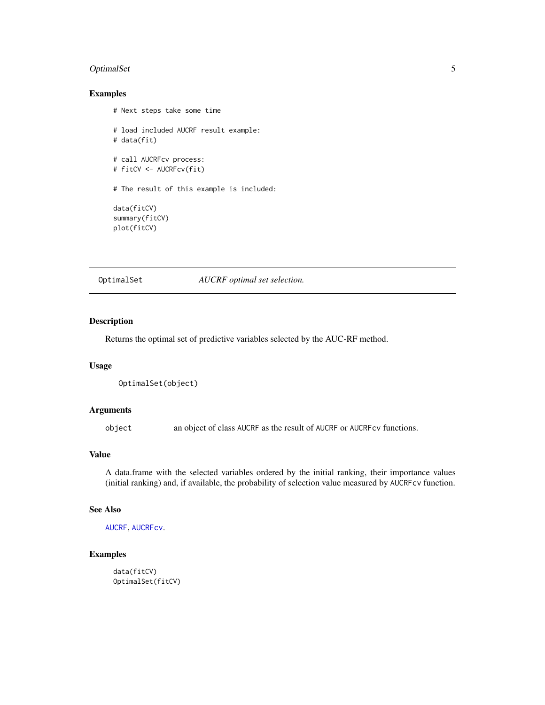# <span id="page-4-0"></span>OptimalSet 5

# Examples

```
# Next steps take some time
# load included AUCRF result example:
# data(fit)
# call AUCRFcv process:
# fitCV <- AUCRFcv(fit)
# The result of this example is included:
data(fitCV)
summary(fitCV)
plot(fitCV)
```
<span id="page-4-1"></span>OptimalSet *AUCRF optimal set selection.*

# Description

Returns the optimal set of predictive variables selected by the AUC-RF method.

# Usage

```
OptimalSet(object)
```
# Arguments

object an object of class AUCRF as the result of AUCRF or AUCRFcv functions.

#### Value

A data.frame with the selected variables ordered by the initial ranking, their importance values (initial ranking) and, if available, the probability of selection value measured by AUCRFcv function.

# See Also

```
AUCRF, AUCRFcv.
```
# Examples

```
data(fitCV)
OptimalSet(fitCV)
```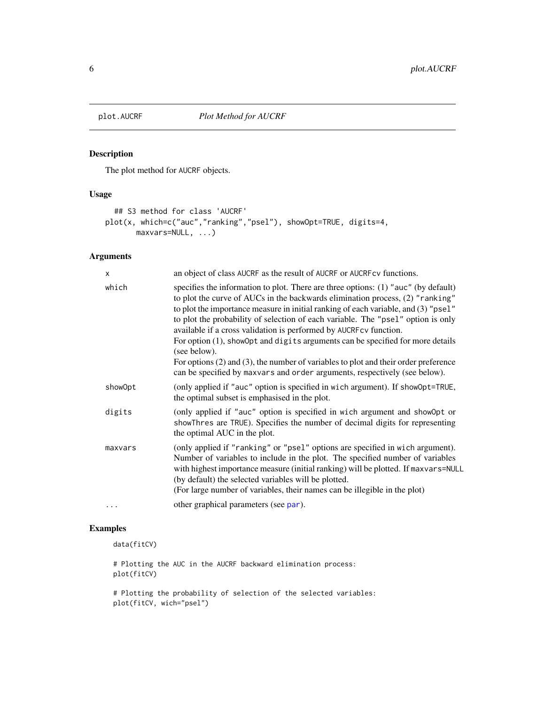<span id="page-5-0"></span>

# Description

The plot method for AUCRF objects.

# Usage

```
## S3 method for class 'AUCRF'
plot(x, which=c("auc","ranking","psel"), showOpt=TRUE, digits=4,
      maxvars=NULL, ...)
```
# Arguments

| $\mathsf{x}$ | an object of class AUCRF as the result of AUCRF or AUCRF cv functions.                                                                                                                                                                                                                                                                                                                                                                                                                                                                                                                                                                                                                            |
|--------------|---------------------------------------------------------------------------------------------------------------------------------------------------------------------------------------------------------------------------------------------------------------------------------------------------------------------------------------------------------------------------------------------------------------------------------------------------------------------------------------------------------------------------------------------------------------------------------------------------------------------------------------------------------------------------------------------------|
| which        | specifies the information to plot. There are three options: $(1)$ "auc" (by default)<br>to plot the curve of AUCs in the backwards elimination process, (2) "ranking"<br>to plot the importance measure in initial ranking of each variable, and (3) "psel"<br>to plot the probability of selection of each variable. The "psel" option is only<br>available if a cross validation is performed by AUCRFcv function.<br>For option (1), show Opt and digits arguments can be specified for more details<br>(see below).<br>For options $(2)$ and $(3)$ , the number of variables to plot and their order preference<br>can be specified by maxvars and order arguments, respectively (see below). |
| showOpt      | (only applied if "auc" option is specified in wich argument). If showOpt=TRUE,<br>the optimal subset is emphasised in the plot.                                                                                                                                                                                                                                                                                                                                                                                                                                                                                                                                                                   |
| digits       | (only applied if "auc" option is specified in wich argument and showOpt or<br>showThres are TRUE). Specifies the number of decimal digits for representing<br>the optimal AUC in the plot.                                                                                                                                                                                                                                                                                                                                                                                                                                                                                                        |
| maxvars      | (only applied if "ranking" or "psel" options are specified in wich argument).<br>Number of variables to include in the plot. The specified number of variables<br>with highest importance measure (initial ranking) will be plotted. If maxvars=NULL<br>(by default) the selected variables will be plotted.<br>(For large number of variables, their names can be illegible in the plot)                                                                                                                                                                                                                                                                                                         |
| .            | other graphical parameters (see par).                                                                                                                                                                                                                                                                                                                                                                                                                                                                                                                                                                                                                                                             |

# Examples

data(fitCV)

# Plotting the AUC in the AUCRF backward elimination process: plot(fitCV)

# Plotting the probability of selection of the selected variables: plot(fitCV, wich="psel")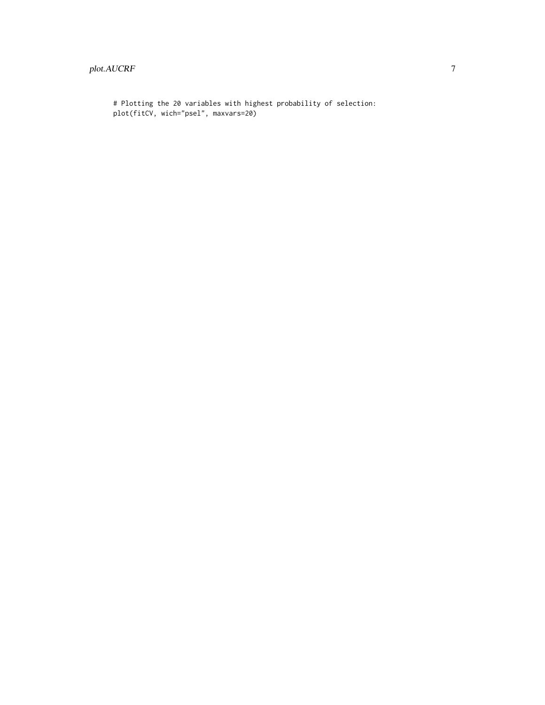# Plotting the 20 variables with highest probability of selection: plot(fitCV, wich="psel", maxvars=20)